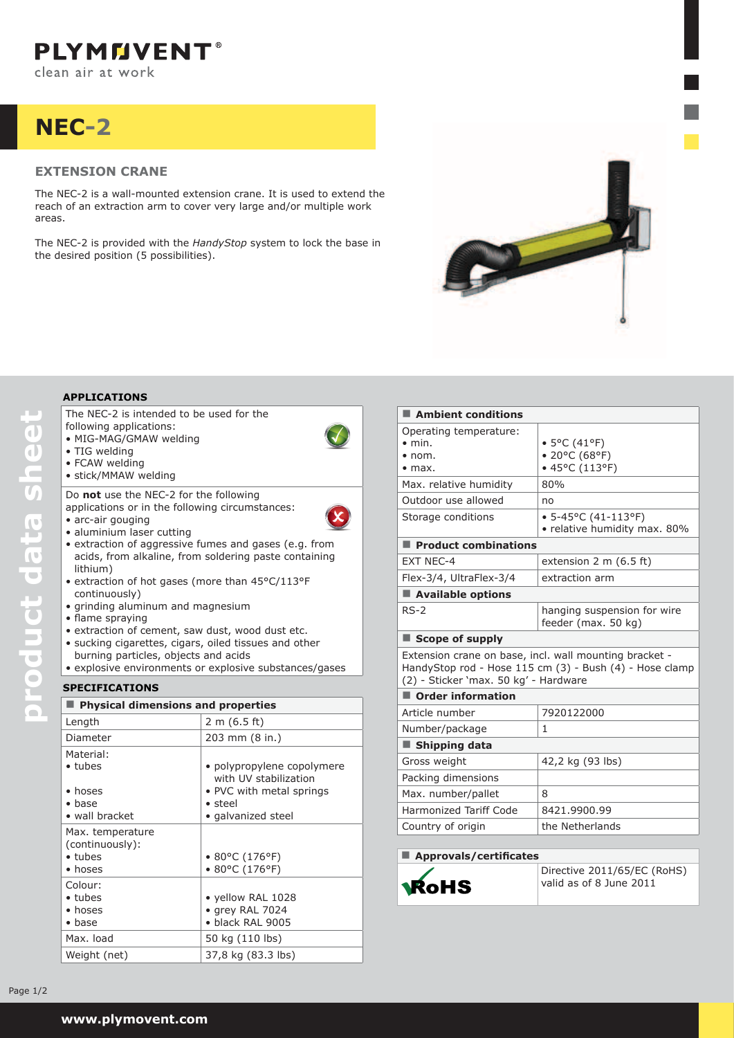# **nec-2**

## **Extension Crane**

The NEC-2 is a wall-mounted extension crane. It is used to extend the reach of an extraction arm to cover very large and/or multiple work areas.

The NEC-2 is provided with the *HandyStop* system to lock the base in the desired position (5 possibilities).



The NEC-2 is intended to be used for the following applications:

- • MIG-MAG/GMAW welding
- TIG welding
- FCAW welding
- • stick/MMAW welding

Do **not** use the NEC-2 for the following applications or in the following circumstances: • arc-air gouging

- aluminium laser cutting
- extraction of aggressive fumes and gases (e.g. from acids, from alkaline, from soldering paste containing lithium)
- extraction of hot gases (more than 45°C/113°F continuously)
- • grinding aluminum and magnesium
- • flame spraying
- extraction of cement, saw dust, wood dust etc.
- sucking cigarettes, cigars, oiled tissues and other
	- burning particles, objects and acids
- explosive environments or explosive substances/gases

## **Specifications**

| <b>Physical dimensions and properties</b>                                 |                                                           |
|---------------------------------------------------------------------------|-----------------------------------------------------------|
| Length                                                                    | 2 m (6.5 ft)                                              |
| Diameter                                                                  | 203 mm (8 in.)                                            |
| Material:<br>$\bullet$ tubes                                              | • polypropylene copolymere<br>with UV stabilization       |
| $\bullet$ hoses<br>$\bullet$ base<br>• wall bracket                       | • PVC with metal springs<br>• steel<br>• galvanized steel |
| Max. temperature<br>(continuously):<br>$\bullet$ tubes<br>$\bullet$ hoses | $\bullet$ 80°C (176°F)<br>$\bullet$ 80°C (176°F)          |
| Colour:<br>$\bullet$ tubes<br>$\bullet$ hoses<br>$\bullet$ base           | • yellow RAL 1028<br>• grey RAL 7024<br>· black RAL 9005  |
| Max. load                                                                 | 50 kg (110 lbs)                                           |
| Weight (net)                                                              | 37,8 kg (83.3 lbs)                                        |

| Ambient conditions                                                                                                                                         |                                                             |  |
|------------------------------------------------------------------------------------------------------------------------------------------------------------|-------------------------------------------------------------|--|
| Operating temperature:                                                                                                                                     |                                                             |  |
| $\bullet$ min.                                                                                                                                             | • 5°C (41°F)                                                |  |
| $\bullet$ nom.<br>$\bullet$ max.                                                                                                                           | • 20°C (68°F)<br>• 45°C (113°F)                             |  |
|                                                                                                                                                            | 80%                                                         |  |
| Max. relative humidity                                                                                                                                     |                                                             |  |
| Outdoor use allowed                                                                                                                                        | no                                                          |  |
| Storage conditions                                                                                                                                         | $\bullet$ 5-45°C (41-113°F)<br>• relative humidity max. 80% |  |
| Product combinations                                                                                                                                       |                                                             |  |
| <b>EXT NEC-4</b>                                                                                                                                           | extension $2 \text{ m}$ (6.5 ft)                            |  |
| Flex-3/4, UltraFlex-3/4                                                                                                                                    | extraction arm                                              |  |
| Available options                                                                                                                                          |                                                             |  |
| $RS-2$                                                                                                                                                     | hanging suspension for wire<br>feeder (max. 50 kg)          |  |
| Scope of supply                                                                                                                                            |                                                             |  |
| Extension crane on base, incl. wall mounting bracket -<br>HandyStop rod - Hose 115 cm (3) - Bush (4) - Hose clamp<br>(2) - Sticker 'max. 50 kg' - Hardware |                                                             |  |
| Order information                                                                                                                                          |                                                             |  |
| Article number                                                                                                                                             | 7920122000                                                  |  |
| Number/package                                                                                                                                             | 1                                                           |  |
| ■ Shipping data                                                                                                                                            |                                                             |  |
| Gross weight                                                                                                                                               | 42,2 kg (93 lbs)                                            |  |
| Packing dimensions                                                                                                                                         |                                                             |  |
| Max. number/pallet                                                                                                                                         | 8                                                           |  |
| <b>Harmonized Tariff Code</b>                                                                                                                              | 8421.9900.99                                                |  |

Country of origin https://www.frands

### **Approvals/certificates**



Directive 2011/65/EC (RoHS) valid as of 8 June 2011

Page  $1/2$